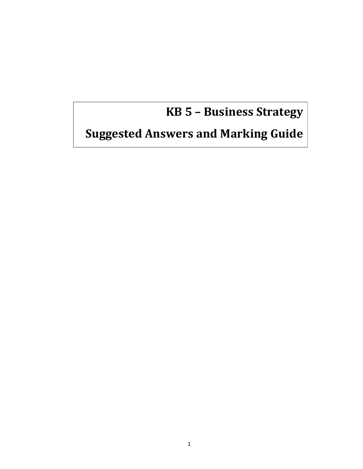# **KB 5 – Business Strategy**

# **Suggested Answers and Marking Guide**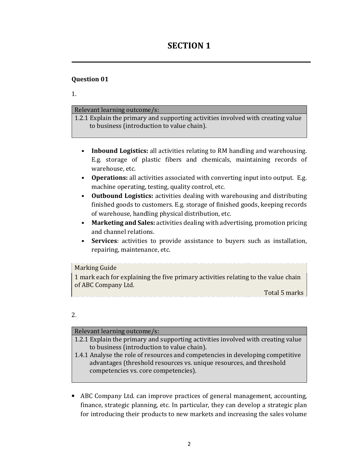# **SECTION 1**

# **Question 01**

1.

#### Relevant learning outcome/s:

1.2.1 Explain the primary and supporting activities involved with creating value to business (introduction to value chain).

- **Inbound Logistics:** all activities relating to RM handling and warehousing. E.g. storage of plastic fibers and chemicals, maintaining records of warehouse, etc.
- **Operations:** all activities associated with converting input into output. E.g. machine operating, testing, quality control, etc.
- **Outbound Logistics:** activities dealing with warehousing and distributing finished goods to customers. E.g. storage of finished goods, keeping records of warehouse, handling physical distribution, etc.
- **Marketing and Sales:** activities dealing with advertising, promotion pricing and channel relations.
- **Services**: activities to provide assistance to buyers such as installation, repairing, maintenance, etc.

# Marking Guide

1 mark each for explaining the five primary activities relating to the value chain of ABC Company Ltd.

<u>Total 5 marks</u>

#### 2.

#### Relevant learning outcome/s:

- 1.2.1 Explain the primary and supporting activities involved with creating value to business (introduction to value chain).
- 1.4.1 Analyse the role of resources and competencies in developing competitive advantages (threshold resources vs. unique resources, and threshold competencies vs. core competencies).
- ABC Company Ltd. can improve practices of general management, accounting, finance, strategic planning, etc. In particular, they can develop a strategic plan for introducing their products to new markets and increasing the sales volume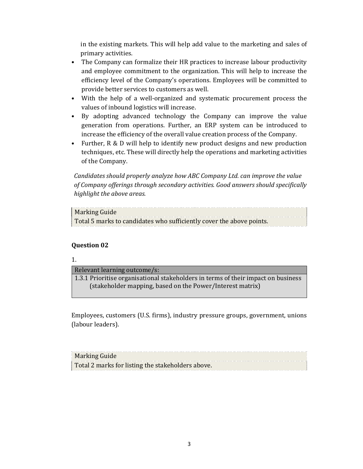in the existing markets. This will help add value to the marketing and sales of primary activities.

- The Company can formalize their HR practices to increase labour productivity and employee commitment to the organization. This will help to increase the efficiency level of the Company's operations. Employees will be committed to provide better services to customers as well.
- With the help of a well-organized and systematic procurement process the values of inbound logistics will increase.
- By adopting advanced technology the Company can improve the value generation from operations. Further, an ERP system can be introduced to increase the efficiency of the overall value creation process of the Company.
- Further, R & D will help to identify new product designs and new production techniques, etc. These will directly help the operations and marketing activities of the Company.

*Candidates should properly analyze how ABC Company Ltd. can improve the value of Company offerings through secondary activities. Good answers should specifically highlight the above areas.* 

# Marking Guide Total 5 marks to candidates who sufficiently cover the above points.

# **Question 02**

1.

Relevant learning outcome/s:

1.3.1 Prioritise organisational stakeholders in terms of their impact on business (stakeholder mapping, based on the Power/Interest matrix)

Employees, customers (U.S. firms), industry pressure groups, government, unions (labour leaders).

| <b>Marking Guide</b>                              |  |
|---------------------------------------------------|--|
|                                                   |  |
| Total 2 marks for listing the stakeholders above. |  |
|                                                   |  |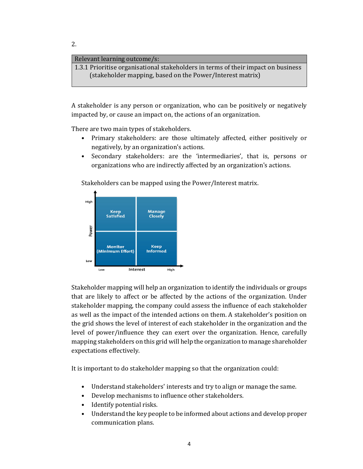#### Relevant learning outcome/s:

1.3.1 Prioritise organisational stakeholders in terms of their impact on business (stakeholder mapping, based on the Power/Interest matrix)

A stakeholder is any person or organization, who can be positively or negatively impacted by, or cause an impact on, the actions of an organization.

There are two main types of stakeholders.

- Primary stakeholders: are those ultimately affected, either positively or negatively, by an organization's actions.
- Secondary stakeholders: are the 'intermediaries', that is, persons or organizations who are indirectly affected by an organization's actions.

Stakeholders can be mapped using the Power/Interest matrix.



Stakeholder mapping will help an organization to identify the individuals or groups that are likely to affect or be affected by the actions of the organization. Under stakeholder mapping, the company could assess the influence of each stakeholder as well as the impact of the intended actions on them. A stakeholder's position on the grid shows the level of interest of each stakeholder in the organization and the level of power/influence they can exert over the organization. Hence, carefully mapping stakeholders on this grid will help the organization to manage shareholder expectations effectively.

It is important to do stakeholder mapping so that the organization could:

- Understand stakeholders' interests and try to align or manage the same.
- Develop mechanisms to influence other stakeholders.
- Identify potential risks.
- Understand the key people to be informed about actions and develop proper communication plans.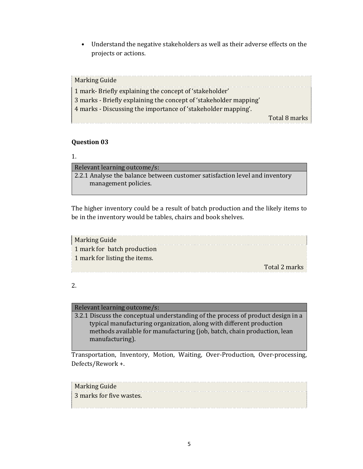• Understand the negative stakeholders as well as their adverse effects on the projects or actions.

| <b>Marking Guide</b>                                              |               |
|-------------------------------------------------------------------|---------------|
| 1 mark- Briefly explaining the concept of 'stakeholder'           |               |
| 3 marks - Briefly explaining the concept of 'stakeholder mapping' |               |
| 4 marks - Discussing the importance of 'stakeholder mapping'.     |               |
|                                                                   | Total 8 marks |

# **Question 03**

# 1.

Relevant learning outcome/s: 2.2.1 Analyse the balance between customer satisfaction level and inventory management policies.

The higher inventory could be a result of batch production and the likely items to be in the inventory would be tables, chairs and book shelves.

| <b>Marking Guide</b>          |               |
|-------------------------------|---------------|
| 1 mark for batch production   |               |
| 1 mark for listing the items. |               |
|                               | Total 2 marks |

# 2.

# Relevant learning outcome/s:

3.2.1 Discuss the conceptual understanding of the process of product design in a typical manufacturing organization, along with different production methods available for manufacturing (job, batch, chain production, lean manufacturing).

Transportation, Inventory, Motion, Waiting, Over-Production, Over-processing, Defects/Rework +.

Marking Guide 3 marks for five wastes.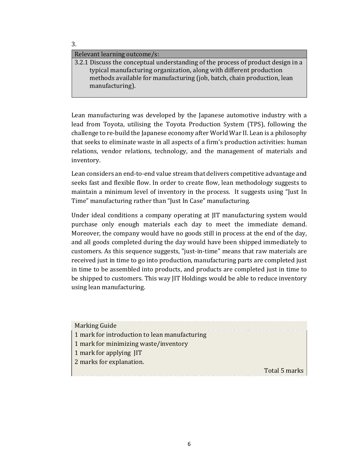3.

#### Relevant learning outcome/s:

3.2.1 Discuss the conceptual understanding of the process of product design in a typical manufacturing organization, along with different production methods available for manufacturing (job, batch, chain production, lean manufacturing).

Lean manufacturing was developed by the Japanese automotive industry with a lead from Toyota, utilising the Toyota Production System (TPS), following the challenge to re-build the Japanese economy after World War II. Lean is a philosophy that seeks to eliminate waste in all aspects of a firm's production activities: human relations, vendor relations, technology, and the management of materials and inventory.

Lean considers an end-to-end value stream that delivers competitive advantage and seeks fast and flexible flow. In order to create flow, lean methodology suggests to maintain a minimum level of inventory in the process. It suggests using "Just In Time" manufacturing rather than "Just In Case" manufacturing.

Under ideal conditions a company operating at JIT manufacturing system would purchase only enough materials each day to meet the immediate demand. Moreover, the company would have no goods still in process at the end of the day, and all goods completed during the day would have been shipped immediately to customers. As this sequence suggests, "just-in-time" means that raw materials are received just in time to go into production, manufacturing parts are completed just in time to be assembled into products, and products are completed just in time to be shipped to customers. This way JIT Holdings would be able to reduce inventory using lean manufacturing.

| <b>Marking Guide</b>                          |               |
|-----------------------------------------------|---------------|
| 1 mark for introduction to lean manufacturing |               |
| 1 mark for minimizing waste/inventory         |               |
| 1 mark for applying JIT                       |               |
| 2 marks for explanation.                      |               |
|                                               | Total 5 marks |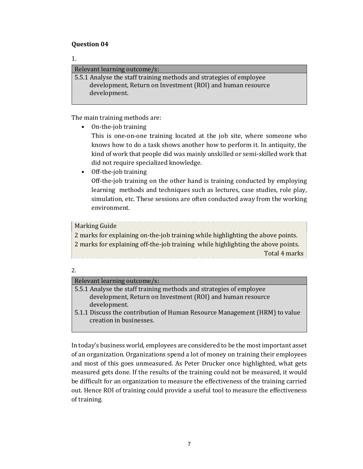# **Question 04**

1.

Relevant learning outcome/s: 5.5.1 Analyse the staff training methods and strategies of employee development, Return on Investment (ROI) and human resource development.

The main training methods are:

• On-the-job training

This is one-on-one training located at the job site, where someone who knows how to do a task shows another how to perform it. In antiquity, the kind of work that people did was mainly unskilled or semi-skilled work that did not require specialized knowledge.

• Off-the-job training

Off-the-job training on the other hand is training conducted by employing learning methods and techniques such as lectures, case studies, role play, simulation, etc. These sessions are often conducted away from the working environment.

# Marking Guide

2 marks for explaining on-the-job training while highlighting the above points. 2 marks for explaining off-the-job training while highlighting the above points. Total 4 marks 

2.

# Relevant learning outcome/s:

| 5.5.1 Analyse the staff training methods and strategies of employee |
|---------------------------------------------------------------------|
| development, Return on Investment (ROI) and human resource          |
| development.                                                        |
|                                                                     |

5.1.1 Discuss the contribution of Human Resource Management (HRM) to value creation in businesses.

In today's business world, employees are considered to be the most important asset of an organization. Organizations spend a lot of money on training their employees and most of this goes unmeasured. As Peter Drucker once highlighted, what gets measured gets done. If the results of the training could not be measured, it would be difficult for an organization to measure the effectiveness of the training carried out. Hence ROI of training could provide a useful tool to measure the effectiveness of training.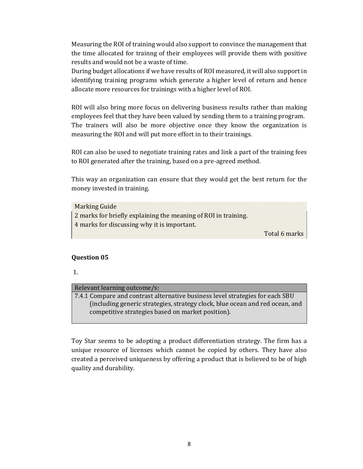Measuring the ROI of training would also support to convince the management that the time allocated for trainng of their employees will provide them with positive results and would not be a waste of time.

During budget allocations if we have results of ROI measured, it will also support in identifying training programs which generate a higher level of return and hence allocate more resources for trainings with a higher level of ROI.

ROI will also bring more focus on delivering business results rather than making employees feel that they have been valued by sending them to a training program. The trainers will also be more objective once they know the organization is measuring the ROI and will put more effort in to their trainings.

ROI can also be used to negotiate training rates and link a part of the training fees to ROI generated after the training, based on a pre-agreed method.

This way an organization can ensure that they would get the best return for the money invested in training.

| Marking Guide                                                  |               |
|----------------------------------------------------------------|---------------|
| 2 marks for briefly explaining the meaning of ROI in training. |               |
| 4 marks for discussing why it is important.                    |               |
|                                                                | Total 6 marks |

# **Question 05**

1.

# Relevant learning outcome/s:

7.4.1 Compare and contrast alternative business level strategies for each SBU (including generic strategies, strategy clock, blue ocean and red ocean, and competitive strategies based on market position).

Toy Star seems to be adopting a product differentiation strategy. The firm has a unique resource of licenses which cannot be copied by others. They have also created a perceived uniqueness by offering a product that is believed to be of high quality and durability.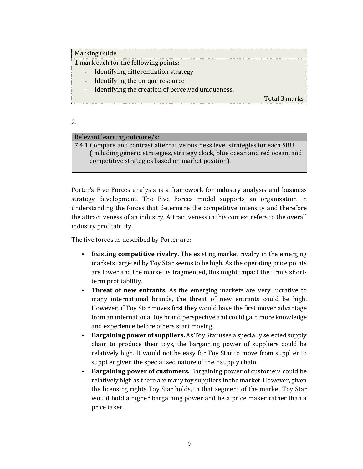# Marking Guide

1 mark each for the following points:

- Identifying differentiation strategy
- Identifying the unique resource
- Identifying the creation of perceived uniqueness.

Total 3 marks

#### 2.

# Relevant learning outcome/s:

7.4.1 Compare and contrast alternative business level strategies for each SBU (including generic strategies, strategy clock, blue ocean and red ocean, and competitive strategies based on market position).

Porter's Five Forces analysis is a framework for industry analysis and business strategy development. The Five Forces model supports an organization in understanding the forces that determine the competitive intensity and therefore the attractiveness of an industry. Attractiveness in this context refers to the overall industry profitability.

The five forces as described by Porter are:

- **Existing competitive rivalry.** The existing market rivalry in the emerging markets targeted by Toy Star seems to be high. As the operating price points are lower and the market is fragmented, this might impact the firm's shortterm profitability.
- **Threat of new entrants.** As the emerging markets are very lucrative to many international brands, the threat of new entrants could be high. However, if Toy Star moves first they would have the first mover advantage from an international toy brand perspective and could gain more knowledge and experience before others start moving.
- **Bargaining power of suppliers.** As Toy Star uses a specially selected supply chain to produce their toys, the bargaining power of suppliers could be relatively high. It would not be easy for Toy Star to move from supplier to supplier given the specialized nature of their supply chain.
- **Bargaining power of customers.** Bargaining power of customers could be relatively high as there are many toy suppliers in the market. However, given the licensing rights Toy Star holds, in that segment of the market Toy Star would hold a higher bargaining power and be a price maker rather than a price taker.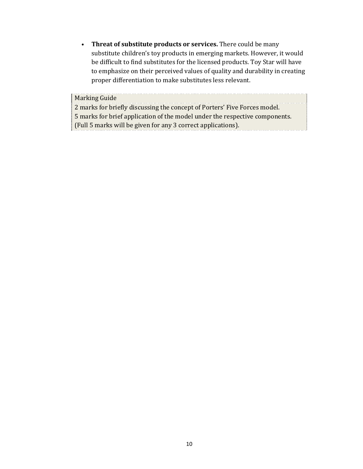• **Threat of substitute products or services.** There could be many substitute children's toy products in emerging markets. However, it would be difficult to find substitutes for the licensed products. Toy Star will have to emphasize on their perceived values of quality and durability in creating proper differentiation to make substitutes less relevant.

#### Marking Guide

2 marks for briefly discussing the concept of Porters' Five Forces model. 5 marks for brief application of the model under the respective components. (Full 5 marks will be given for any 3 correct applications). . . . . . . . . . . . . 1

10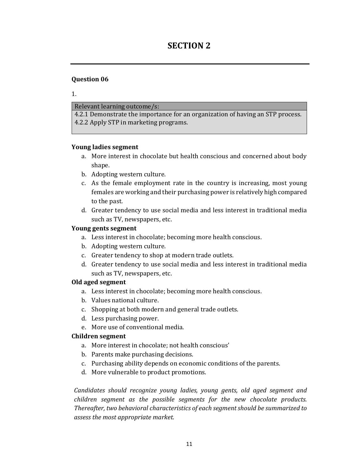# **SECTION 2**

# **Question 06**

1.

Relevant learning outcome/s:

4.2.1 Demonstrate the importance for an organization of having an STP process. 4.2.2 Apply STP in marketing programs.

# **Young ladies segment**

- a. More interest in chocolate but health conscious and concerned about body shape.
- b. Adopting western culture.
- c. As the female employment rate in the country is increasing, most young females are working and their purchasing power is relatively high compared to the past.
- d. Greater tendency to use social media and less interest in traditional media such as TV, newspapers, etc.

# **Young gents segment**

- a. Less interest in chocolate; becoming more health conscious.
- b. Adopting western culture.
- c. Greater tendency to shop at modern trade outlets.
- d. Greater tendency to use social media and less interest in traditional media such as TV, newspapers, etc.

# **Old aged segment**

- a. Less interest in chocolate; becoming more health conscious.
- b. Values national culture.
- c. Shopping at both modern and general trade outlets.
- d. Less purchasing power.
- e. More use of conventional media.

# **Children segment**

- a. More interest in chocolate; not health conscious'
- b. Parents make purchasing decisions.
- c. Purchasing ability depends on economic conditions of the parents.
- d. More vulnerable to product promotions.

*Candidates should recognize young ladies, young gents, old aged segment and children segment as the possible segments for the new chocolate products. Thereafter, two behavioral characteristics of each segment should be summarized to assess the most appropriate market.*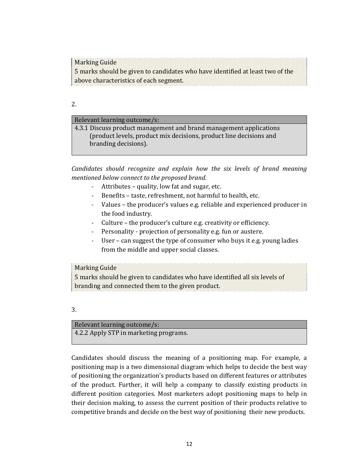Marking Guide 5 marks should be given to candidates who have identified at least two of the above characteristics of each segment.

2.

#### Relevant learning outcome/s:

4.3.1 Discuss product management and brand management applications (product levels, product mix decisions, product line decisions and branding decisions).

*Candidates should recognize and explain how the six levels of brand meaning mentioned below connect to the proposed brand.* 

- Attributes quality, low fat and sugar, etc.
- Benefits taste, refreshment, not harmful to health, etc.
- Values the producer's values e.g. reliable and experienced producer in the food industry.
- Culture the producer's culture e.g. creativity or efficiency.
- Personality projection of personality e.g. fun or austere.
- User can suggest the type of consumer who buys it e.g. young ladies from the middle and upper social classes.

# Marking Guide

5 marks should be given to candidates who have identified all six levels of branding and connected them to the given product.

# 3.

Relevant learning outcome/s: 4.2.2 Apply STP in marketing programs.

Candidates should discuss the meaning of a positioning map. For example, a positioning map is a two dimensional diagram which helps to decide the best way of positioning the organization's products based on different features or attributes of the product. Further, it will help a company to classify existing products in different position categories. Most marketers adopt positioning maps to help in their decision making, to assess the current position of their products relative to competitive brands and decide on the best way of positioning their new products.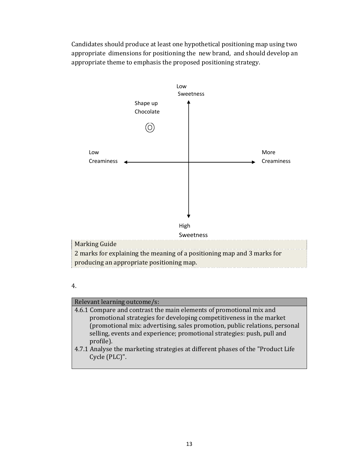Candidates should produce at least one hypothetical positioning map using two appropriate dimensions for positioning the new brand, and should develop an appropriate theme to emphasis the proposed positioning strategy.





# Relevant learning outcome/s:

- 4.6.1 Compare and contrast the main elements of promotional mix and promotional strategies for developing competitiveness in the market (promotional mix: advertising, sales promotion, public relations, personal selling, events and experience; promotional strategies: push, pull and profile).
- 4.7.1 Analyse the marketing strategies at different phases of the "Product Life Cycle (PLC)".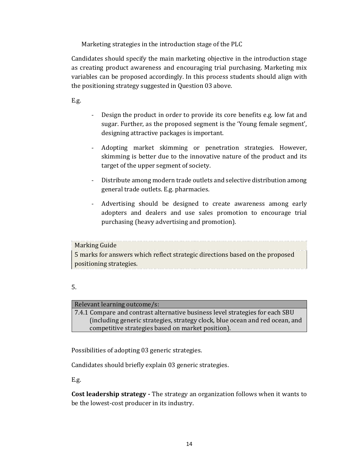Marketing strategies in the introduction stage of the PLC

Candidates should specify the main marketing objective in the introduction stage as creating product awareness and encouraging trial purchasing. Marketing mix variables can be proposed accordingly. In this process students should align with the positioning strategy suggested in Question 03 above.

E.g.

- Design the product in order to provide its core benefits e.g. low fat and sugar. Further, as the proposed segment is the 'Young female segment', designing attractive packages is important.
- Adopting market skimming or penetration strategies. However, skimming is better due to the innovative nature of the product and its target of the upper segment of society.
- Distribute among modern trade outlets and selective distribution among general trade outlets. E.g. pharmacies.
- Advertising should be designed to create awareness among early adopters and dealers and use sales promotion to encourage trial purchasing (heavy advertising and promotion).

Marking Guide 5 marks for answers which reflect strategic directions based on the proposed positioning strategies. 

| _                  |  |
|--------------------|--|
| ı<br>۰.<br>۰.<br>w |  |

# Relevant learning outcome/s:

7.4.1 Compare and contrast alternative business level strategies for each SBU (including generic strategies, strategy clock, blue ocean and red ocean, and competitive strategies based on market position).

Possibilities of adopting 03 generic strategies.

Candidates should briefly explain 03 generic strategies.

E.g.

**Cost leadership strategy -** The strategy an organization follows when it wants to be the lowest-cost producer in its industry.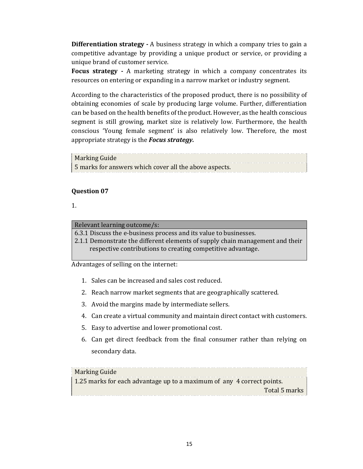**Differentiation strategy -** A business strategy in which a company tries to gain a competitive advantage by providing a unique product or service, or providing a unique brand of customer service.

**Focus strategy -** A marketing strategy in which a company concentrates its resources on entering or expanding in a narrow market or industry segment.

According to the characteristics of the proposed product, there is no possibility of obtaining economies of scale by producing large volume. Further, differentiation can be based on the health benefits of the product. However, as the health conscious segment is still growing, market size is relatively low. Furthermore, the health conscious 'Young female segment' is also relatively low. Therefore, the most appropriate strategy is the *Focus strategy.*

Marking Guide 5 marks for answers which cover all the above aspects.

# **Question 07**

1.

#### Relevant learning outcome/s:

6.3.1 Discuss the e-business process and its value to businesses.

2.1.1 Demonstrate the different elements of supply chain management and their respective contributions to creating competitive advantage.

Advantages of selling on the internet:

- 1. Sales can be increased and sales cost reduced.
- 2. Reach narrow market segments that are geographically scattered.
- 3. Avoid the margins made by intermediate sellers.
- 4. Can create a virtual community and maintain direct contact with customers.
- 5. Easy to advertise and lower promotional cost.
- 6. Can get direct feedback from the final consumer rather than relying on secondary data.

# Marking Guide

1.25 marks for each advantage up to a maximum of any 4 correct points. Total 5 marks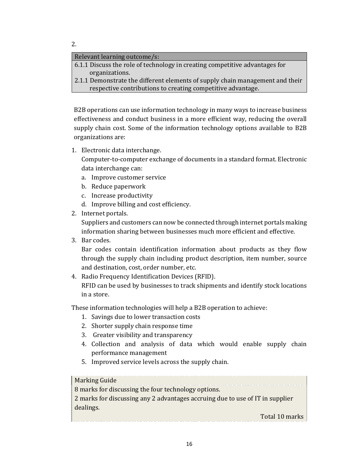2.

# Relevant learning outcome/s:

6.1.1 Discuss the role of technology in creating competitive advantages for organizations.

2.1.1 Demonstrate the different elements of supply chain management and their respective contributions to creating competitive advantage.

B2B operations can use information technology in many ways to increase business effectiveness and conduct business in a more efficient way, reducing the overall supply chain cost. Some of the information technology options available to B2B organizations are:

1. Electronic data interchange.

Computer-to-computer exchange of documents in a standard format. Electronic data interchange can:

- a. Improve customer service
- b. Reduce paperwork
- c. Increase productivity
- d. Improve billing and cost efficiency.
- 2. Internet portals.

Suppliers and customers can now be connected through internet portals making information sharing between businesses much more efficient and effective.

3. Bar codes.

Bar codes contain identification information about products as they flow through the supply chain including product description, item number, source and destination, cost, order number, etc.

4. Radio Frequency Identification Devices (RFID). RFID can be used by businesses to track shipments and identify stock locations in a store.

These information technologies will help a B2B operation to achieve:

- 1. Savings due to lower transaction costs
- 2. Shorter supply chain response time
- 3. Greater visibility and transparency
- 4. Collection and analysis of data which would enable supply chain performance management
- 5. Improved service levels across the supply chain.

# Marking Guide

8 marks for discussing the four technology options.

2 marks for discussing any 2 advantages accruing due to use of IT in supplier dealings.

Total 10 marks